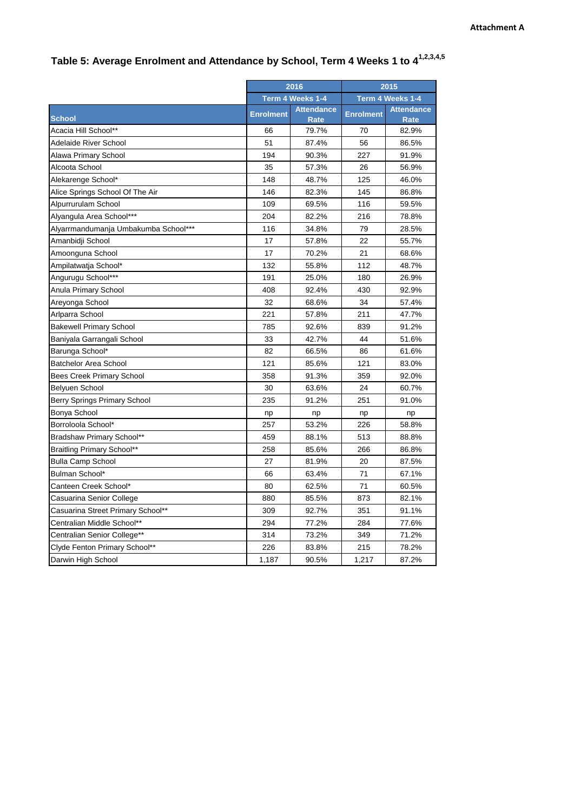|                                      | 2016             |                                  | 2015             |                                  |
|--------------------------------------|------------------|----------------------------------|------------------|----------------------------------|
|                                      | Term 4 Weeks 1-4 |                                  | Term 4 Weeks 1-4 |                                  |
| <b>School</b>                        | <b>Enrolment</b> | <b>Attendance</b><br><b>Rate</b> | <b>Enrolment</b> | <b>Attendance</b><br><b>Rate</b> |
| Acacia Hill School**                 | 66               | 79.7%                            | 70               | 82.9%                            |
| Adelaide River School                | 51               | 87.4%                            | 56               | 86.5%                            |
| Alawa Primary School                 | 194              | 90.3%                            | 227              | 91.9%                            |
| Alcoota School                       | 35               | 57.3%                            | 26               | 56.9%                            |
| Alekarenge School*                   | 148              | 48.7%                            | 125              | 46.0%                            |
| Alice Springs School Of The Air      | 146              | 82.3%                            | 145              | 86.8%                            |
| Alpurrurulam School                  | 109              | 69.5%                            | 116              | 59.5%                            |
| Alyangula Area School***             | 204              | 82.2%                            | 216              | 78.8%                            |
| Alyarrmandumanja Umbakumba School*** | 116              | 34.8%                            | 79               | 28.5%                            |
| Amanbidji School                     | 17               | 57.8%                            | 22               | 55.7%                            |
| Amoonguna School                     | 17               | 70.2%                            | 21               | 68.6%                            |
| Ampilatwatja School*                 | 132              | 55.8%                            | 112              | 48.7%                            |
| Angurugu School***                   | 191              | 25.0%                            | 180              | 26.9%                            |
| Anula Primary School                 | 408              | 92.4%                            | 430              | 92.9%                            |
| Areyonga School                      | 32               | 68.6%                            | 34               | 57.4%                            |
| Arlparra School                      | 221              | 57.8%                            | 211              | 47.7%                            |
| <b>Bakewell Primary School</b>       | 785              | 92.6%                            | 839              | 91.2%                            |
| Baniyala Garrangali School           | 33               | 42.7%                            | 44               | 51.6%                            |
| Barunga School*                      | 82               | 66.5%                            | 86               | 61.6%                            |
| <b>Batchelor Area School</b>         | 121              | 85.6%                            | 121              | 83.0%                            |
| <b>Bees Creek Primary School</b>     | 358              | 91.3%                            | 359              | 92.0%                            |
| Belyuen School                       | 30               | 63.6%                            | 24               | 60.7%                            |
| Berry Springs Primary School         | 235              | 91.2%                            | 251              | 91.0%                            |
| Bonya School                         | np               | np                               | np               | np                               |
| Borroloola School*                   | 257              | 53.2%                            | 226              | 58.8%                            |
| Bradshaw Primary School**            | 459              | 88.1%                            | 513              | 88.8%                            |
| <b>Braitling Primary School**</b>    | 258              | 85.6%                            | 266              | 86.8%                            |
| <b>Bulla Camp School</b>             | 27               | 81.9%                            | 20               | 87.5%                            |
| Bulman School*                       | 66               | 63.4%                            | 71               | 67.1%                            |
| Canteen Creek School*                | 80               | 62.5%                            | 71               | 60.5%                            |
| Casuarina Senior College             | 880              | 85.5%                            | 873              | 82.1%                            |
| Casuarina Street Primary School**    | 309              | 92.7%                            | 351              | 91.1%                            |
| Centralian Middle School**           | 294              | 77.2%                            | 284              | 77.6%                            |
| Centralian Senior College**          | 314              | 73.2%                            | 349              | 71.2%                            |
| Clyde Fenton Primary School**        | 226              | 83.8%                            | 215              | 78.2%                            |
| Darwin High School                   | 1,187            | 90.5%                            | 1,217            | 87.2%                            |

## **Table 5: Average Enrolment and Attendance by School, Term 4 Weeks 1 to 41,2,3,4,5**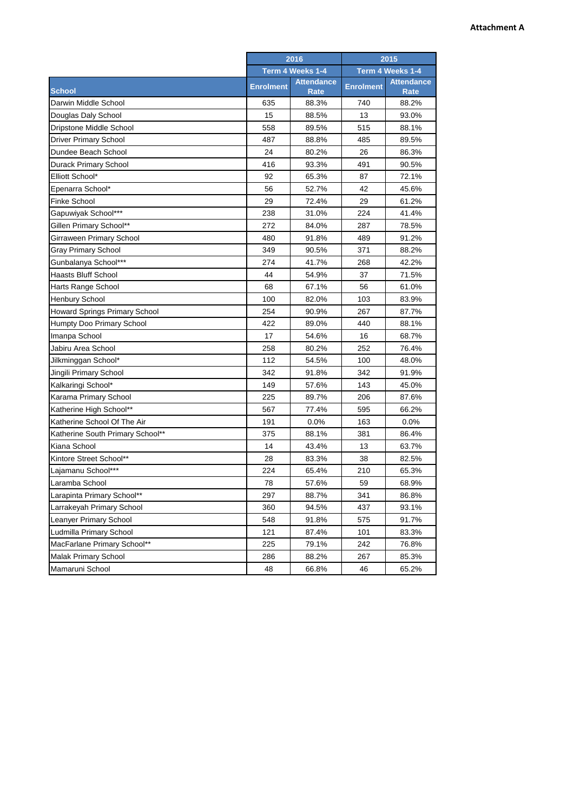|                                      | 2016             |                           | 2015             |                                  |
|--------------------------------------|------------------|---------------------------|------------------|----------------------------------|
|                                      | Term 4 Weeks 1-4 |                           | Term 4 Weeks 1-4 |                                  |
| <b>School</b>                        | <b>Enrolment</b> | <b>Attendance</b><br>Rate | <b>Enrolment</b> | <b>Attendance</b><br><b>Rate</b> |
| Darwin Middle School                 | 635              | 88.3%                     | 740              | 88.2%                            |
| Douglas Daly School                  | 15               | 88.5%                     | 13               | 93.0%                            |
| Dripstone Middle School              | 558              | 89.5%                     | 515              | 88.1%                            |
| <b>Driver Primary School</b>         | 487              | 88.8%                     | 485              | 89.5%                            |
| Dundee Beach School                  | 24               | 80.2%                     | 26               | 86.3%                            |
| <b>Durack Primary School</b>         | 416              | 93.3%                     | 491              | 90.5%                            |
| Elliott School*                      | 92               | 65.3%                     | 87               | 72.1%                            |
| Epenarra School*                     | 56               | 52.7%                     | 42               | 45.6%                            |
| <b>Finke School</b>                  | 29               | 72.4%                     | 29               | 61.2%                            |
| Gapuwiyak School***                  | 238              | 31.0%                     | 224              | 41.4%                            |
| Gillen Primary School**              | 272              | 84.0%                     | 287              | 78.5%                            |
| Girraween Primary School             | 480              | 91.8%                     | 489              | 91.2%                            |
| <b>Gray Primary School</b>           | 349              | 90.5%                     | 371              | 88.2%                            |
| Gunbalanya School***                 | 274              | 41.7%                     | 268              | 42.2%                            |
| Haasts Bluff School                  | 44               | 54.9%                     | 37               | 71.5%                            |
| Harts Range School                   | 68               | 67.1%                     | 56               | 61.0%                            |
| <b>Henbury School</b>                | 100              | 82.0%                     | 103              | 83.9%                            |
| <b>Howard Springs Primary School</b> | 254              | 90.9%                     | 267              | 87.7%                            |
| Humpty Doo Primary School            | 422              | 89.0%                     | 440              | 88.1%                            |
| Imanpa School                        | 17               | 54.6%                     | 16               | 68.7%                            |
| Jabiru Area School                   | 258              | 80.2%                     | 252              | 76.4%                            |
| Jilkminggan School*                  | 112              | 54.5%                     | 100              | 48.0%                            |
| Jingili Primary School               | 342              | 91.8%                     | 342              | 91.9%                            |
| Kalkaringi School*                   | 149              | 57.6%                     | 143              | 45.0%                            |
| Karama Primary School                | 225              | 89.7%                     | 206              | 87.6%                            |
| Katherine High School**              | 567              | 77.4%                     | 595              | 66.2%                            |
| Katherine School Of The Air          | 191              | 0.0%                      | 163              | 0.0%                             |
| Katherine South Primary School**     | 375              | 88.1%                     | 381              | 86.4%                            |
| Kiana School                         | 14               | 43.4%                     | 13               | 63.7%                            |
| Kintore Street School**              | 28               | 83.3%                     | 38               | 82.5%                            |
| Lajamanu School***                   | 224              | 65.4%                     | 210              | 65.3%                            |
| Laramba School                       | 78               | 57.6%                     | 59               | 68.9%                            |
| Larapinta Primary School**           | 297              | 88.7%                     | 341              | 86.8%                            |
| Larrakeyah Primary School            | 360              | 94.5%                     | 437              | 93.1%                            |
| Leanyer Primary School               | 548              | 91.8%                     | 575              | 91.7%                            |
| Ludmilla Primary School              | 121              | 87.4%                     | 101              | 83.3%                            |
| MacFarlane Primary School**          | 225              | 79.1%                     | 242              | 76.8%                            |
| <b>Malak Primary School</b>          | 286              | 88.2%                     | 267              | 85.3%                            |
| Mamaruni School                      | 48               | 66.8%                     | 46               | 65.2%                            |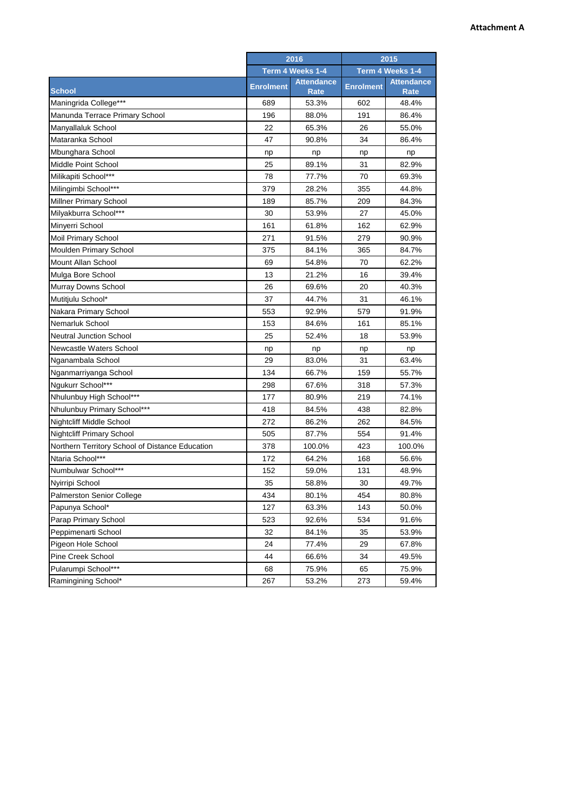|                                                 | 2016<br>Term 4 Weeks 1-4 |                                  | 2015<br>Term 4 Weeks 1-4 |                                  |
|-------------------------------------------------|--------------------------|----------------------------------|--------------------------|----------------------------------|
|                                                 |                          |                                  |                          |                                  |
| <b>School</b>                                   | <b>Enrolment</b>         | <b>Attendance</b><br><b>Rate</b> | <b>Enrolment</b>         | <b>Attendance</b><br><b>Rate</b> |
| Maningrida College***                           | 689                      | 53.3%                            | 602                      | 48.4%                            |
| Manunda Terrace Primary School                  | 196                      | 88.0%                            | 191                      | 86.4%                            |
| Manyallaluk School                              | 22                       | 65.3%                            | 26                       | 55.0%                            |
| Mataranka School                                | 47                       | 90.8%                            | 34                       | 86.4%                            |
| Mbunghara School                                | np                       | np                               | np                       | np                               |
| Middle Point School                             | 25                       | 89.1%                            | 31                       | 82.9%                            |
| Milikapiti School***                            | 78                       | 77.7%                            | 70                       | 69.3%                            |
| Milingimbi School***                            | 379                      | 28.2%                            | 355                      | 44.8%                            |
| Millner Primary School                          | 189                      | 85.7%                            | 209                      | 84.3%                            |
| Milyakburra School***                           | 30                       | 53.9%                            | 27                       | 45.0%                            |
| Minyerri School                                 | 161                      | 61.8%                            | 162                      | 62.9%                            |
| Moil Primary School                             | 271                      | 91.5%                            | 279                      | 90.9%                            |
| Moulden Primary School                          | 375                      | 84.1%                            | 365                      | 84.7%                            |
| <b>Mount Allan School</b>                       | 69                       | 54.8%                            | 70                       | 62.2%                            |
| Mulga Bore School                               | 13                       | 21.2%                            | 16                       | 39.4%                            |
| Murray Downs School                             | 26                       | 69.6%                            | 20                       | 40.3%                            |
| Mutitjulu School*                               | 37                       | 44.7%                            | 31                       | 46.1%                            |
| Nakara Primary School                           | 553                      | 92.9%                            | 579                      | 91.9%                            |
| Nemarluk School                                 | 153                      | 84.6%                            | 161                      | 85.1%                            |
| <b>Neutral Junction School</b>                  | 25                       | 52.4%                            | 18                       | 53.9%                            |
| Newcastle Waters School                         | np                       | np                               | np                       | np                               |
| Nganambala School                               | 29                       | 83.0%                            | 31                       | 63.4%                            |
| Nganmarriyanga School                           | 134                      | 66.7%                            | 159                      | 55.7%                            |
| Ngukurr School***                               | 298                      | 67.6%                            | 318                      | 57.3%                            |
| Nhulunbuy High School***                        | 177                      | 80.9%                            | 219                      | 74.1%                            |
| Nhulunbuy Primary School***                     | 418                      | 84.5%                            | 438                      | 82.8%                            |
| Nightcliff Middle School                        | 272                      | 86.2%                            | 262                      | 84.5%                            |
| <b>Nightcliff Primary School</b>                | 505                      | 87.7%                            | 554                      | 91.4%                            |
| Northern Territory School of Distance Education | 378                      | 100.0%                           | 423                      | 100.0%                           |
| Ntaria School***                                | 172                      | 64.2%                            | 168                      | 56.6%                            |
| Numbulwar School***                             | 152                      | 59.0%                            | 131                      | 48.9%                            |
| Nyirripi School                                 | 35                       | 58.8%                            | 30                       | 49.7%                            |
| Palmerston Senior College                       | 434                      | 80.1%                            | 454                      | 80.8%                            |
| Papunya School*                                 | 127                      | 63.3%                            | 143                      | 50.0%                            |
| Parap Primary School                            | 523                      | 92.6%                            | 534                      | 91.6%                            |
| Peppimenarti School                             | 32                       | 84.1%                            | 35                       | 53.9%                            |
| Pigeon Hole School                              | 24                       | 77.4%                            | 29                       | 67.8%                            |
| Pine Creek School                               | 44                       | 66.6%                            | 34                       | 49.5%                            |
| Pularumpi School***                             | 68                       | 75.9%                            | 65                       | 75.9%                            |
| Ramingining School*                             | 267                      | 53.2%                            | 273                      | 59.4%                            |